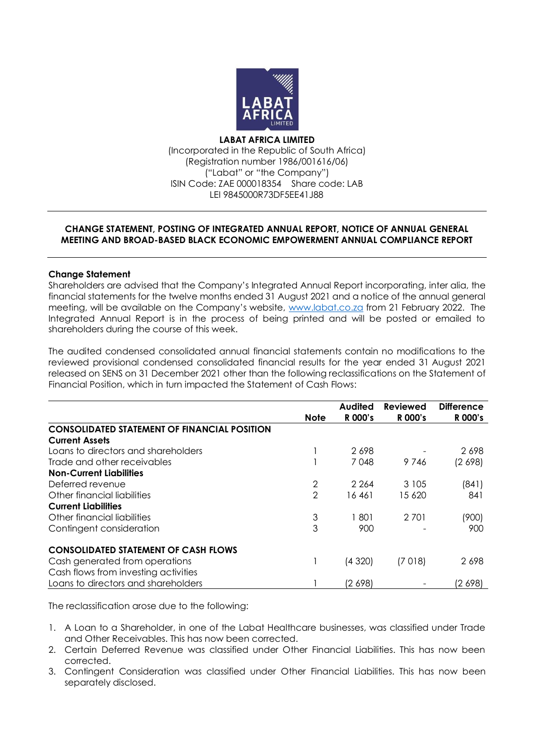

**LABAT AFRICA LIMITED** (Incorporated in the Republic of South Africa) (Registration number 1986/001616/06) ("Labat" or "the Company") ISIN Code: ZAE 000018354 Share code: LAB LEI 9845000R73DF5EE41J88

# **CHANGE STATEMENT, POSTING OF INTEGRATED ANNUAL REPORT, NOTICE OF ANNUAL GENERAL MEETING AND BROAD-BASED BLACK ECONOMIC EMPOWERMENT ANNUAL COMPLIANCE REPORT**

## **Change Statement**

Shareholders are advised that the Company's Integrated Annual Report incorporating, inter alia, the financial statements for the twelve months ended 31 August 2021 and a notice of the annual general meeting, will be available on the Company's website, [www.labat.co.za](http://www.labat.co.za/) from 21 February 2022. The Integrated Annual Report is in the process of being printed and will be posted or emailed to shareholders during the course of this week.

The audited condensed consolidated annual financial statements contain no modifications to the reviewed provisional condensed consolidated financial results for the year ended 31 August 2021 released on SENS on 31 December 2021 other than the following reclassifications on the Statement of Financial Position, which in turn impacted the Statement of Cash Flows:

|                                                     |                | <b>Audited</b> | <b>Reviewed</b> | <b>Difference</b> |
|-----------------------------------------------------|----------------|----------------|-----------------|-------------------|
|                                                     | <b>Note</b>    | R 000's        | R 000's         | R 000's           |
| <b>CONSOLIDATED STATEMENT OF FINANCIAL POSITION</b> |                |                |                 |                   |
| <b>Current Assets</b>                               |                |                |                 |                   |
| Loans to directors and shareholders                 |                | 2698           |                 | 2698              |
| Trade and other receivables                         |                | 7048           | 9746            | (2698)            |
| <b>Non-Current Liabilities</b>                      |                |                |                 |                   |
| Deferred revenue                                    | $\overline{2}$ | 2 2 6 4        | 3 1 0 5         | (841)             |
| Other financial liabilities                         | $\overline{2}$ | 16461          | 15 620          | 841               |
| <b>Current Liabilities</b>                          |                |                |                 |                   |
| Other financial liabilities                         | 3              | 801            | 2701            | (900)             |
| Contingent consideration                            | 3              | 900            |                 | 900               |
| <b>CONSOLIDATED STATEMENT OF CASH FLOWS</b>         |                |                |                 |                   |
| Cash generated from operations                      |                | (4320)         | (7018)          | 2698              |
| Cash flows from investing activities                |                |                |                 |                   |
| Loans to directors and shareholders                 |                | (2 698)        |                 | (2 698)           |

The reclassification arose due to the following:

- 1. A Loan to a Shareholder, in one of the Labat Healthcare businesses, was classified under Trade and Other Receivables. This has now been corrected.
- 2. Certain Deferred Revenue was classified under Other Financial Liabilities. This has now been corrected.
- 3. Contingent Consideration was classified under Other Financial Liabilities. This has now been separately disclosed.